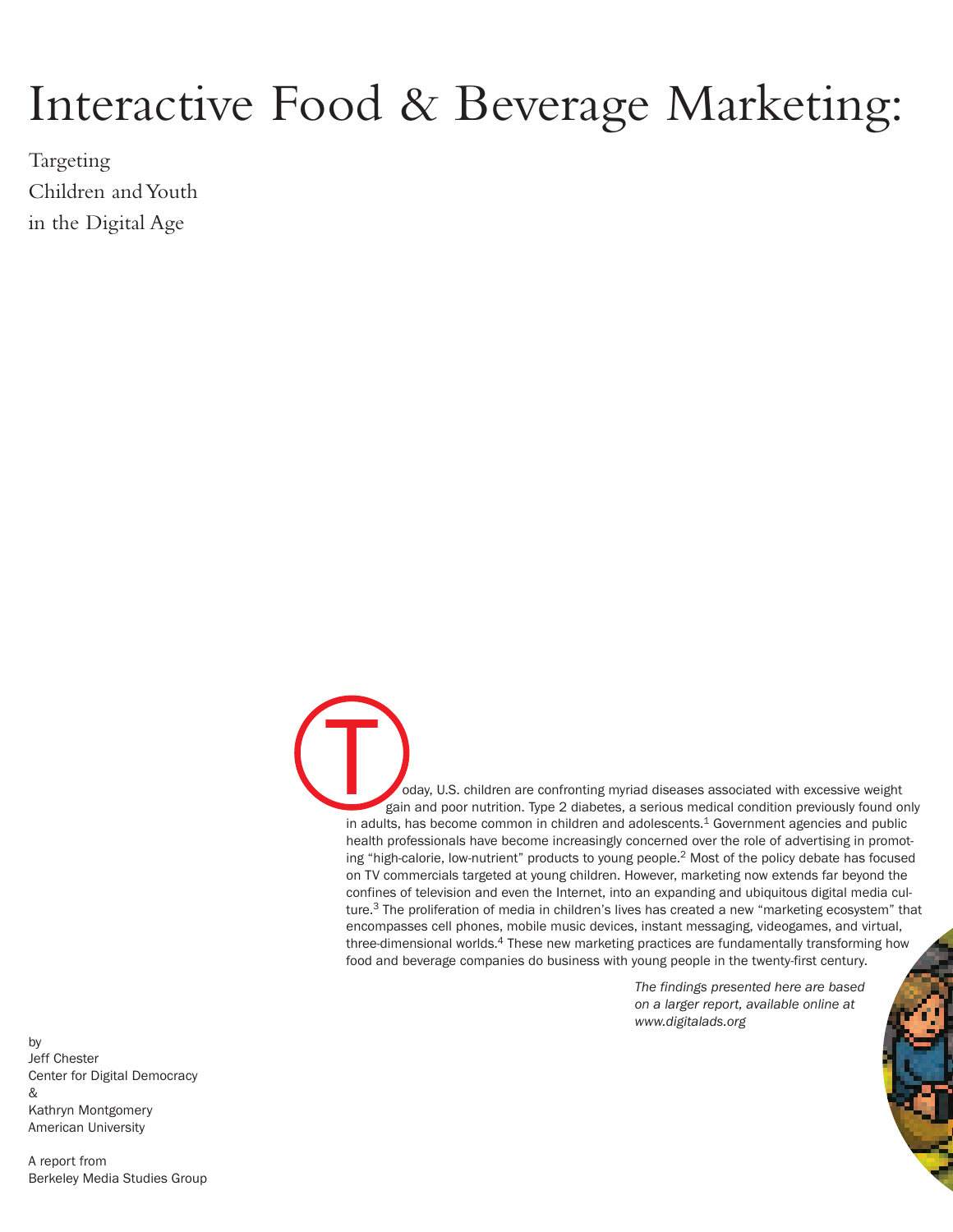# Interactive Food & Beverage Marketing:

Targeting Children and Youth in the Digital Age

> oday, U.S. children are confronting myriad diseases associated with excessive weight gain and poor nutrition. Type 2 diabetes, a serious medical condition previously found only in adults, has become common in children and adolescents. $1$  Government agencies and public health professionals have become increasingly concerned over the role of advertising in promoting "high-calorie, low-nutrient" products to young people.<sup>2</sup> Most of the policy debate has focused on TV commercials targeted at young children. However, marketing now extends far beyond the confines of television and even the Internet, into an expanding and ubiquitous digital media culture.<sup>3</sup> The proliferation of media in children's lives has created a new "marketing ecosystem" that encompasses cell phones, mobile music devices, instant messaging, videogames, and virtual, three-dimensional worlds.<sup>4</sup> These new marketing practices are fundamentally transforming how food and beverage companies do business with young people in the twenty-first century. T

> > *The findings presented here are based on a larger report, available online at [www.digitalads.org](http://www.digitalads.org)*

by Jeff Chester [Center for Digital Democracy](http://www.democraticmedia.org) & Kathryn Montgomery American University

A report from [Berkeley Media Studies Group](http://www.bmsg.org)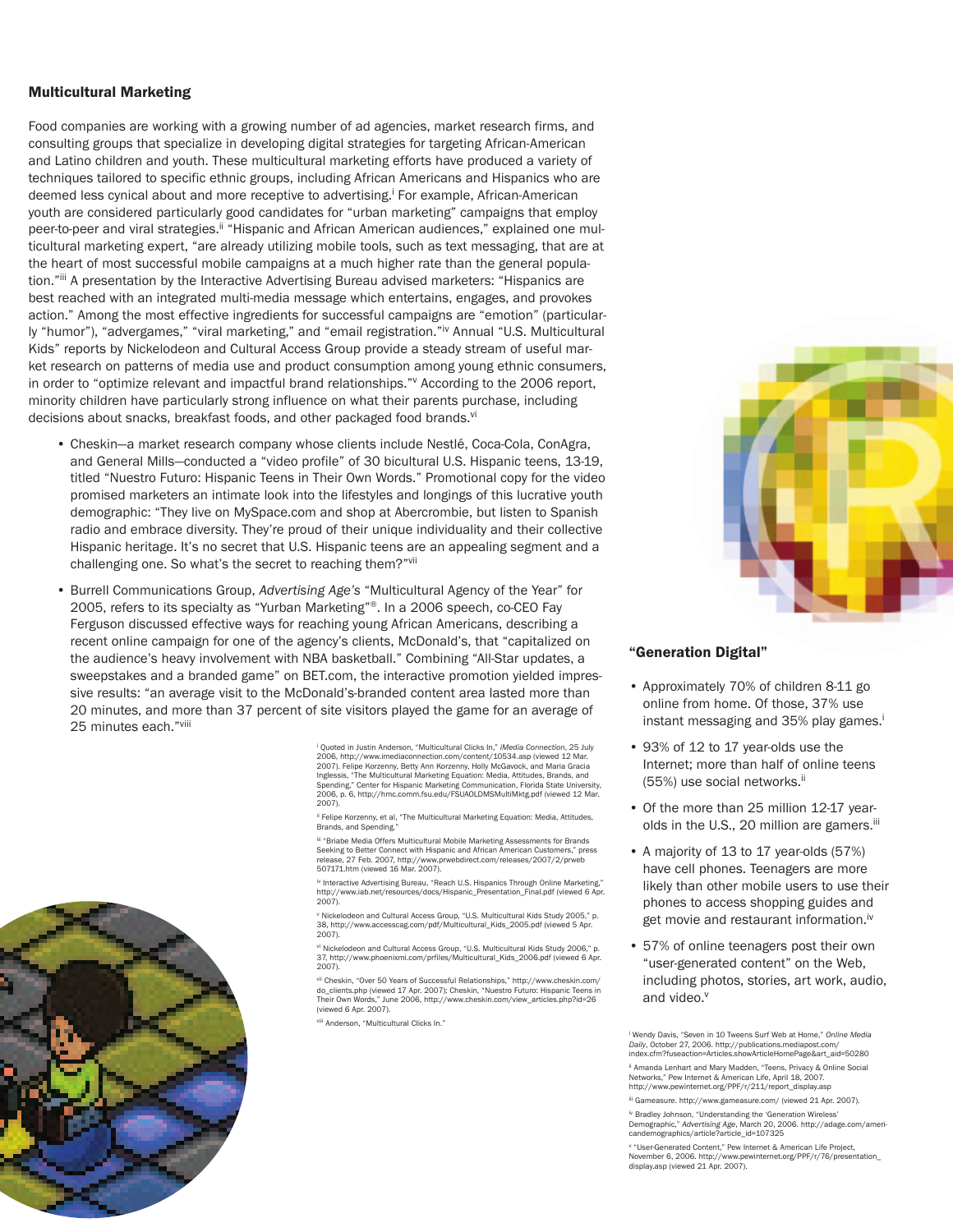#### **Multicultural Marketing**

Food companies are working with a growing number of ad agencies, market research firms, and consulting groups that specialize in developing digital strategies for targeting African-American and Latino children and youth. These multicultural marketing efforts have produced a variety of techniques tailored to specific ethnic groups, including African Americans and Hispanics who are deemed less cynical about and more receptive to advertising.<sup>i</sup> For example, African-American youth are considered particularly good candidates for "urban marketing" campaigns that employ peer-to-peer and viral strategies.<sup>ii</sup> "Hispanic and African American audiences," explained one multicultural marketing expert, "are already utilizing mobile tools, such as text messaging, that are at the heart of most successful mobile campaigns at a much higher rate than the general population."iii A presentation by the Interactive Advertising Bureau advised marketers: "Hispanics are best reached with an integrated multi-media message which entertains, engages, and provokes action." Among the most effective ingredients for successful campaigns are "emotion" (particularly "humor"), "advergames," "viral marketing," and "email registration."<sup>iv</sup> Annual "U.S. Multicultural Kids" reports by Nickelodeon and Cultural Access Group provide a steady stream of useful market research on patterns of media use and product consumption among young ethnic consumers, in order to "optimize relevant and impactful brand relationships." According to the 2006 report, minority children have particularly strong influence on what their parents purchase, including decisions about snacks, breakfast foods, and other packaged food brands.<sup>vi</sup>

- Cheskin—a market research company whose clients include Nestlé, Coca-Cola, ConAgra, and General Mills—conducted a "video profile" of 30 bicultural U.S. Hispanic teens, 13-19, titled "Nuestro Futuro: Hispanic Teens in Their Own Words." Promotional copy for the video promised marketers an intimate look into the lifestyles and longings of this lucrative youth demographic: "They live on MySpace.com and shop at Abercrombie, but listen to Spanish radio and embrace diversity. They're proud of their unique individuality and their collective Hispanic heritage. It's no secret that U.S. Hispanic teens are an appealing segment and a challenging one. So what's the secret to reaching them?"vii
- Burrell Communications Group, *Advertising Age's* "Multicultural Agency of the Year" for 2005, refers to its specialty as "Yurban Marketing"®. In a 2006 speech, co-CEO Fay Ferguson discussed effective ways for reaching young African Americans, describing a recent online campaign for one of the agency's clients, McDonald's, that "capitalized on the audience's heavy involvement with NBA basketball." Combining "All-Star updates, a sweepstakes and a branded game" on BET.com, the interactive promotion yielded impressive results: "an average visit to the McDonald's-branded content area lasted more than 20 minutes, and more than 37 percent of site visitors played the game for an average of 25 minutes each."viii

<sup>i</sup> Quoted in Justin Anderson, "Multicultural Clicks In," *iMedia Connection*, 25 July 2006, http://www.imediaconnection.com/content/10534.asp (viewed 12 Mar. 2007). Felipe Korzenny, Betty Ann Korzenny, Holly McGavock, and Maria Gracia<br>Inglessis, "The Multicultural Marketing Equation: Media, Attitudes, Brands, and<br>Spending." Center for Hispanic Marketing Communication. Florida S 2006, p. 6, http://hmc.comm.fsu.edu/FSUAOLDMSMultiMktg.pdf (viewed 12 Mar. 2007).

ii Felipe Korzenny, et al, "The Multicultural Marketing Equation: Media, Attitudes Brands, and Spending.

iii "Briabe Media Offers Multicultural Mobile Marketing Assessments for Brands<br>Seeking to Better Connect with Hispanic and African American Customers," press<br>release. 27 Feb. 2007. http://www.prwehdirect.com/releases/2007/ 507171.htm (viewed 16 Mar. 2007).

iv Interactive Advertising Bureau, "Reach U.S. Hispanics Through Online Marketing," http://www.iab.net/resources/docs/Hispanic\_Presentation\_Final.pdf (viewed 6 Apr. 2007).

v Nickelodeon and Cultural Access Group, "U.S. Multicultural Kids Study 2005," p.<br>38. http://www.accesscag.com/pdf/Multicultural\_Kids\_2005.pdf (viewed 5 Apr. 2007).

v<sup>i</sup> Nickelodeon and Cultural Access Group, "U.S. Multicultural Kids Study 2006," p.<br>37. http://www.phoenixmi.com/prfiles/Multicultural\_Kids\_2006.pdf (viewed 6 Apr. 2007).

<sup>vii</sup> Cheskin, "Over 50 Years of Successful Relationships," http://www.cheskin.com/<br>do clients.php (viewed 17 Apr. 2007); Cheskin. "Nuestro Futuro: Hispanic Teens in Their Own Words," June 2006, http://www.cheskin.com/view\_articles.php?id=26 (viewed 6 Apr. 2007).

viii Anderson, "Multicultural Clicks In."



#### **"Generation Digital"**

- Approximately 70% of children 8-11 go online from home. Of those, 37% use instant messaging and 35% play games.<sup>i</sup>
- 93% of 12 to 17 year-olds use the Internet; more than half of online teens (55%) use social networks.ii
- Of the more than 25 million 12-17 yearolds in the U.S., 20 million are gamers.<sup>iii</sup>
- A majority of 13 to 17 year-olds (57%) have cell phones. Teenagers are more likely than other mobile users to use their phones to access shopping guides and get movie and restaurant information.<sup>iv</sup>
- 57% of online teenagers post their own "user-generated content" on the Web, including photos, stories, art work, audio, and video.<sup>v</sup>

<sup>i</sup> Wendy Davis, "Seven in 10 Tweens Surf Web at Home," *Online Media Daily*, October 27, 2006. http://publications.mediapost.com/ index.cfm?fuseaction=Articles.showArticleHomePage&art\_aid=50280

ii Amanda Lenhart and Mary Madden, "Teens, Privacy & Online Social Networks," Pew Internet & American Life, April 18, 2007. http://www.pewinternet.org/PPF/r/211/report\_display.asp

iii Gameasure. http://www.gameasure.com/ (viewed 21 Apr. 2007). iv Bradley Johnson, "Understanding the 'Generation Wireless'

Demographic," *Advertising Age*, March 20, 2006. http://adage.com/ameri-candemographics/article?article\_id=107325

<sup>v</sup> "User-Generated Content," Pew Internet & American Life Project, November 6, 2006. http://www.pewinternet.org/PPF/r/76/presentation\_ display.asp (viewed 21 Apr. 2007).

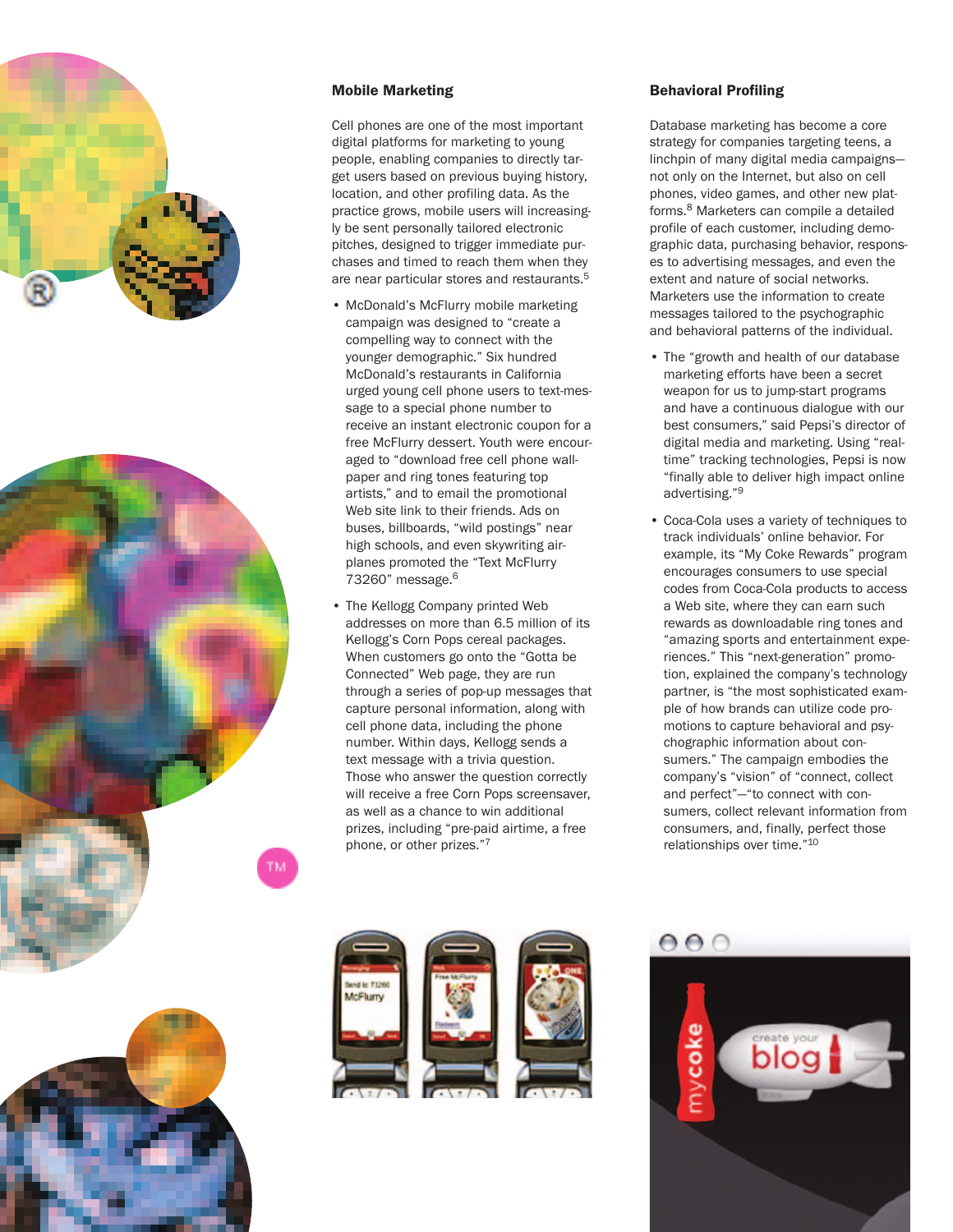





#### **Mobile Marketing**

Cell phones are one of the most important digital platforms for marketing to young people, enabling companies to directly target users based on previous buying history, location, and other profiling data. As the practice grows, mobile users will increasingly be sent personally tailored electronic pitches, designed to trigger immediate purchases and timed to reach them when they are near particular stores and restaurants.<sup>5</sup>

- McDonald's McFlurry mobile marketing campaign was designed to "create a compelling way to connect with the younger demographic." Six hundred McDonald's restaurants in California urged young cell phone users to text-message to a special phone number to receive an instant electronic coupon for a free McFlurry dessert. Youth were encouraged to "download free cell phone wallpaper and ring tones featuring top artists," and to email the promotional Web site link to their friends. Ads on buses, billboards, "wild postings" near high schools, and even skywriting airplanes promoted the "Text McFlurry 73260" message.6
- The Kellogg Company printed Web addresses on more than 6.5 million of its Kellogg's Corn Pops cereal packages. When customers go onto the "Gotta be Connected" Web page, they are run through a series of pop-up messages that capture personal information, along with cell phone data, including the phone number. Within days, Kellogg sends a text message with a trivia question. Those who answer the question correctly will receive a free Corn Pops screensaver, as well as a chance to win additional prizes, including "pre-paid airtime, a free phone, or other prizes."7



#### **Behavioral Profiling**

Database marketing has become a core strategy for companies targeting teens, a linchpin of many digital media campaigns not only on the Internet, but also on cell phones, video games, and other new platforms.8 Marketers can compile a detailed profile of each customer, including demographic data, purchasing behavior, responses to advertising messages, and even the extent and nature of social networks. Marketers use the information to create messages tailored to the psychographic and behavioral patterns of the individual.

- The "growth and health of our database marketing efforts have been a secret weapon for us to jump-start programs and have a continuous dialogue with our best consumers," said Pepsi's director of digital media and marketing. Using "realtime" tracking technologies, Pepsi is now "finally able to deliver high impact online advertising."9
- Coca-Cola uses a variety of techniques to track individuals' online behavior. For example, its "My Coke Rewards" program encourages consumers to use special codes from Coca-Cola products to access a Web site, where they can earn such rewards as downloadable ring tones and "amazing sports and entertainment experiences." This "next-generation" promotion, explained the company's technology partner, is "the most sophisticated example of how brands can utilize code promotions to capture behavioral and psychographic information about consumers." The campaign embodies the company's "vision" of "connect, collect and perfect"—"to connect with consumers, collect relevant information from consumers, and, finally, perfect those relationships over time."10

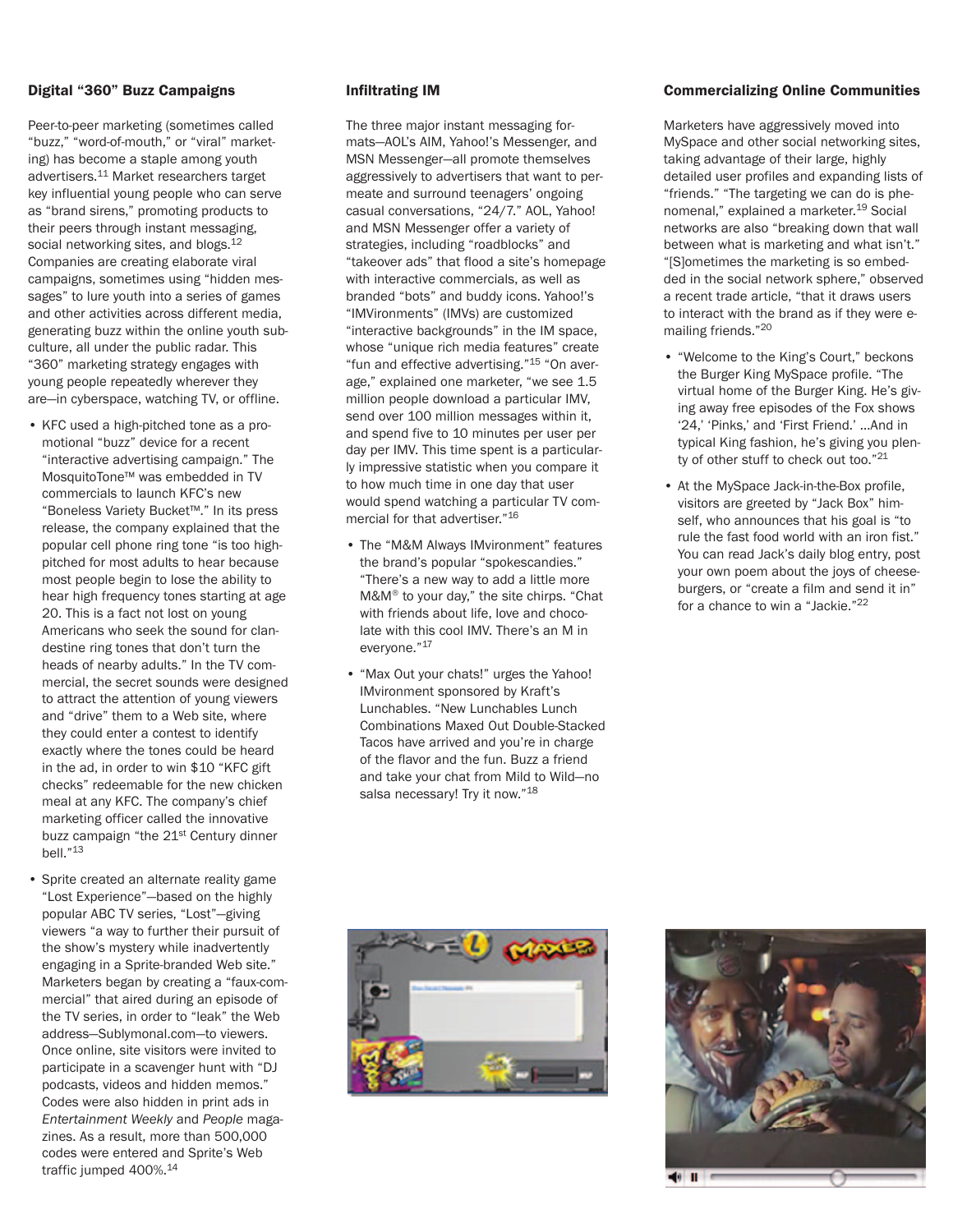### **Digital "360" Buzz Campaigns**

Peer-to-peer marketing (sometimes called "buzz," "word-of-mouth," or "viral" marketing) has become a staple among youth advertisers.<sup>11</sup> Market researchers target key influential young people who can serve as "brand sirens," promoting products to their peers through instant messaging, social networking sites, and blogs.<sup>12</sup> Companies are creating elaborate viral campaigns, sometimes using "hidden messages" to lure youth into a series of games and other activities across different media, generating buzz within the online youth subculture, all under the public radar. This "360" marketing strategy engages with young people repeatedly wherever they are—in cyberspace, watching TV, or offline.

- KFC used a high-pitched tone as a promotional "buzz" device for a recent "interactive advertising campaign." The MosquitoTone™ was embedded in TV commercials to launch KFC's new "Boneless Variety Bucket™." In its press release, the company explained that the popular cell phone ring tone "is too highpitched for most adults to hear because most people begin to lose the ability to hear high frequency tones starting at age 20. This is a fact not lost on young Americans who seek the sound for clandestine ring tones that don't turn the heads of nearby adults." In the TV commercial, the secret sounds were designed to attract the attention of young viewers and "drive" them to a Web site, where they could enter a contest to identify exactly where the tones could be heard in the ad, in order to win \$10 "KFC gift checks" redeemable for the new chicken meal at any KFC. The company's chief marketing officer called the innovative buzz campaign "the 21<sup>st</sup> Century dinner bell."13
- Sprite created an alternate reality game "Lost Experience"—based on the highly popular ABC TV series, "Lost"—giving viewers "a way to further their pursuit of the show's mystery while inadvertently engaging in a Sprite-branded Web site." Marketers began by creating a "faux-commercial" that aired during an episode of the TV series, in order to "leak" the Web address—Sublymonal.com—to viewers. Once online, site visitors were invited to participate in a scavenger hunt with "DJ podcasts, videos and hidden memos." Codes were also hidden in print ads in *Entertainment Weekly* and *People* magazines. As a result, more than 500,000 codes were entered and Sprite's Web traffic jumped 400%.<sup>14</sup>

## **Infiltrating IM**

The three major instant messaging formats—AOL's AIM, Yahoo!'s Messenger, and MSN Messenger—all promote themselves aggressively to advertisers that want to permeate and surround teenagers' ongoing casual conversations, "24/7." AOL, Yahoo! and MSN Messenger offer a variety of strategies, including "roadblocks" and "takeover ads" that flood a site's homepage with interactive commercials, as well as branded "bots" and buddy icons. Yahoo!'s "IMVironments" (IMVs) are customized "interactive backgrounds" in the IM space, whose "unique rich media features" create "fun and effective advertising."15 "On average," explained one marketer, "we see 1.5 million people download a particular IMV, send over 100 million messages within it, and spend five to 10 minutes per user per day per IMV. This time spent is a particularly impressive statistic when you compare it to how much time in one day that user would spend watching a particular TV commercial for that advertiser."16

- The "M&M Always IMvironment" features the brand's popular "spokescandies." "There's a new way to add a little more M&M® to your day," the site chirps. "Chat with friends about life, love and chocolate with this cool IMV. There's an M in everyone."17
- "Max Out your chats!" urges the Yahoo! IMvironment sponsored by Kraft's Lunchables. "New Lunchables Lunch Combinations Maxed Out Double-Stacked Tacos have arrived and you're in charge of the flavor and the fun. Buzz a friend and take your chat from Mild to Wild—no salsa necessary! Try it now."<sup>18</sup>

# **Commercializing Online Communities**

Marketers have aggressively moved into MySpace and other social networking sites, taking advantage of their large, highly detailed user profiles and expanding lists of "friends." "The targeting we can do is phenomenal," explained a marketer.19 Social networks are also "breaking down that wall between what is marketing and what isn't." "[S]ometimes the marketing is so embedded in the social network sphere," observed a recent trade article, "that it draws users to interact with the brand as if they were emailing friends."20

- "Welcome to the King's Court," beckons the Burger King MySpace profile. "The virtual home of the Burger King. He's giving away free episodes of the Fox shows '24,' 'Pinks,' and 'First Friend.' …And in typical King fashion, he's giving you plenty of other stuff to check out too."21
- At the MySpace Jack-in-the-Box profile, visitors are greeted by "Jack Box" himself, who announces that his goal is "to rule the fast food world with an iron fist." You can read Jack's daily blog entry, post your own poem about the joys of cheeseburgers, or "create a film and send it in" for a chance to win a "Jackie."22



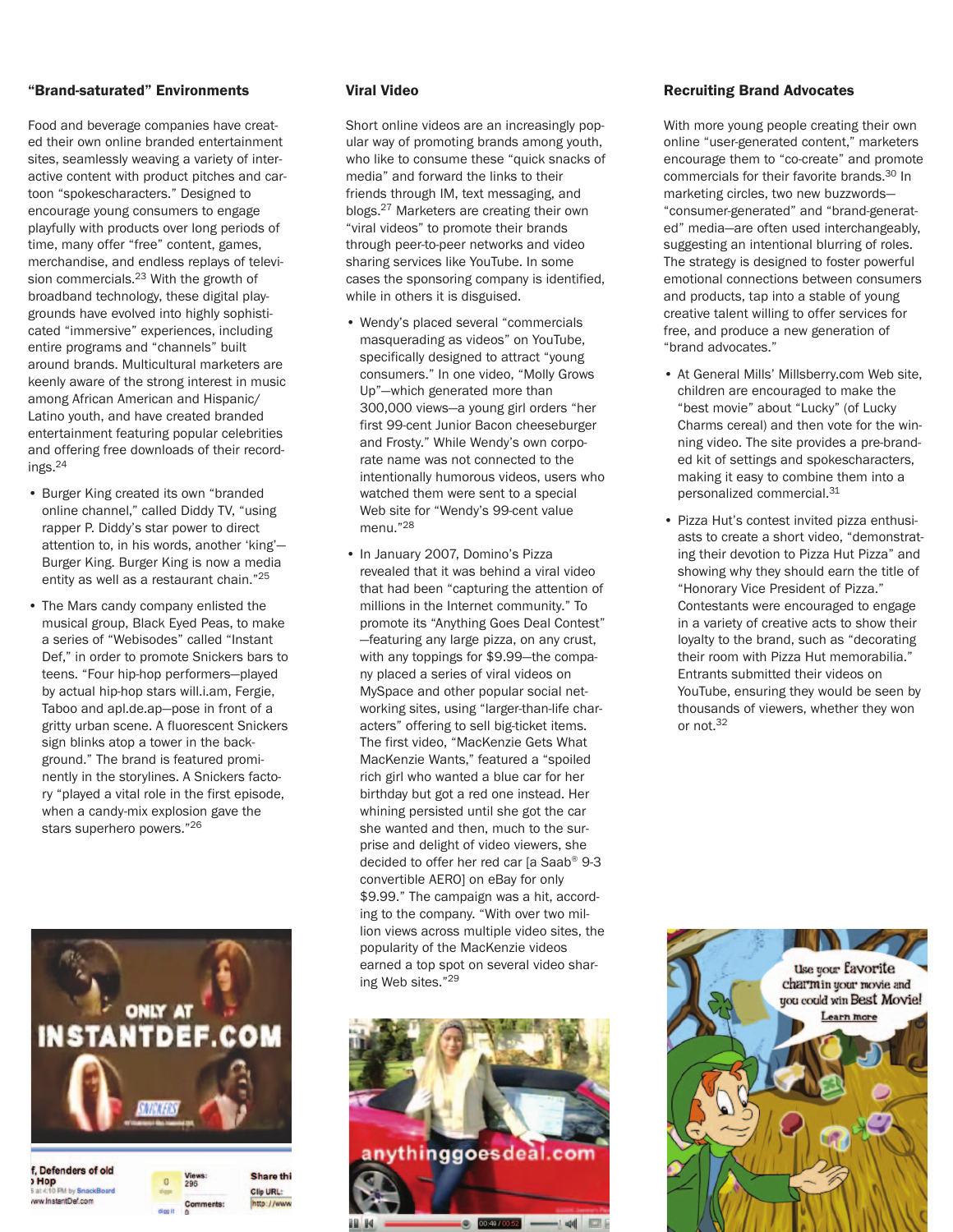## **"Brand-saturated" Environments**

Food and beverage companies have created their own online branded entertainment sites, seamlessly weaving a variety of interactive content with product pitches and cartoon "spokescharacters." Designed to encourage young consumers to engage playfully with products over long periods of time, many offer "free" content, games, merchandise, and endless replays of television commercials.<sup>23</sup> With the growth of broadband technology, these digital playgrounds have evolved into highly sophisticated "immersive" experiences, including entire programs and "channels" built around brands. Multicultural marketers are keenly aware of the strong interest in music among African American and Hispanic/ Latino youth, and have created branded entertainment featuring popular celebrities and offering free downloads of their recordings.24

- Burger King created its own "branded online channel," called Diddy TV, "using rapper P. Diddy's star power to direct attention to, in his words, another 'king'— Burger King. Burger King is now a media entity as well as a restaurant chain."25
- The Mars candy company enlisted the musical group, Black Eyed Peas, to make a series of "Webisodes" called "Instant Def," in order to promote Snickers bars to teens. "Four hip-hop performers—played by actual hip-hop stars will.i.am, Fergie, Taboo and apl.de.ap—pose in front of a gritty urban scene. A fluorescent Snickers sign blinks atop a tower in the background." The brand is featured prominently in the storylines. A Snickers factory "played a vital role in the first episode, when a candy-mix explosion gave the stars superhero powers."26



## **Viral Video**

Short online videos are an increasingly popular way of promoting brands among youth, who like to consume these "quick snacks of media" and forward the links to their friends through IM, text messaging, and blogs.27 Marketers are creating their own "viral videos" to promote their brands through peer-to-peer networks and video sharing services like YouTube. In some cases the sponsoring company is identified, while in others it is disguised.

- Wendy's placed several "commercials masquerading as videos" on YouTube, specifically designed to attract "young consumers." In one video, "Molly Grows Up"—which generated more than 300,000 views—a young girl orders "her first 99-cent Junior Bacon cheeseburger and Frosty." While Wendy's own corporate name was not connected to the intentionally humorous videos, users who watched them were sent to a special Web site for "Wendy's 99-cent value menu."28
- In January 2007, Domino's Pizza revealed that it was behind a viral video that had been "capturing the attention of millions in the Internet community." To promote its "Anything Goes Deal Contest" —featuring any large pizza, on any crust, with any toppings for \$9.99—the company placed a series of viral videos on MySpace and other popular social networking sites, using "larger-than-life characters" offering to sell big-ticket items. The first video, "MacKenzie Gets What MacKenzie Wants," featured a "spoiled rich girl who wanted a blue car for her birthday but got a red one instead. Her whining persisted until she got the car she wanted and then, much to the surprise and delight of video viewers, she decided to offer her red car [a Saab® 9-3 convertible AERO] on eBay for only \$9.99." The campaign was a hit, according to the company. "With over two million views across multiple video sites, the popularity of the MacKenzie videos earned a top spot on several video sharing Web sites."29



 $-1 = 4$  $\Box$ 

## **Recruiting Brand Advocates**

With more young people creating their own online "user-generated content," marketers encourage them to "co-create" and promote commercials for their favorite brands.30 In marketing circles, two new buzzwords— "consumer-generated" and "brand-generated" media—are often used interchangeably, suggesting an intentional blurring of roles. The strategy is designed to foster powerful emotional connections between consumers and products, tap into a stable of young creative talent willing to offer services for free, and produce a new generation of "brand advocates."

- At General Mills' Millsberry.com Web site, children are encouraged to make the "best movie" about "Lucky" (of Lucky Charms cereal) and then vote for the winning video. The site provides a pre-branded kit of settings and spokescharacters, making it easy to combine them into a personalized commercial.31
- Pizza Hut's contest invited pizza enthusiasts to create a short video, "demonstrating their devotion to Pizza Hut Pizza" and showing why they should earn the title of "Honorary Vice President of Pizza." Contestants were encouraged to engage in a variety of creative acts to show their loyalty to the brand, such as "decorating their room with Pizza Hut memorabilia." Entrants submitted their videos on YouTube, ensuring they would be seen by thousands of viewers, whether they won or not.32

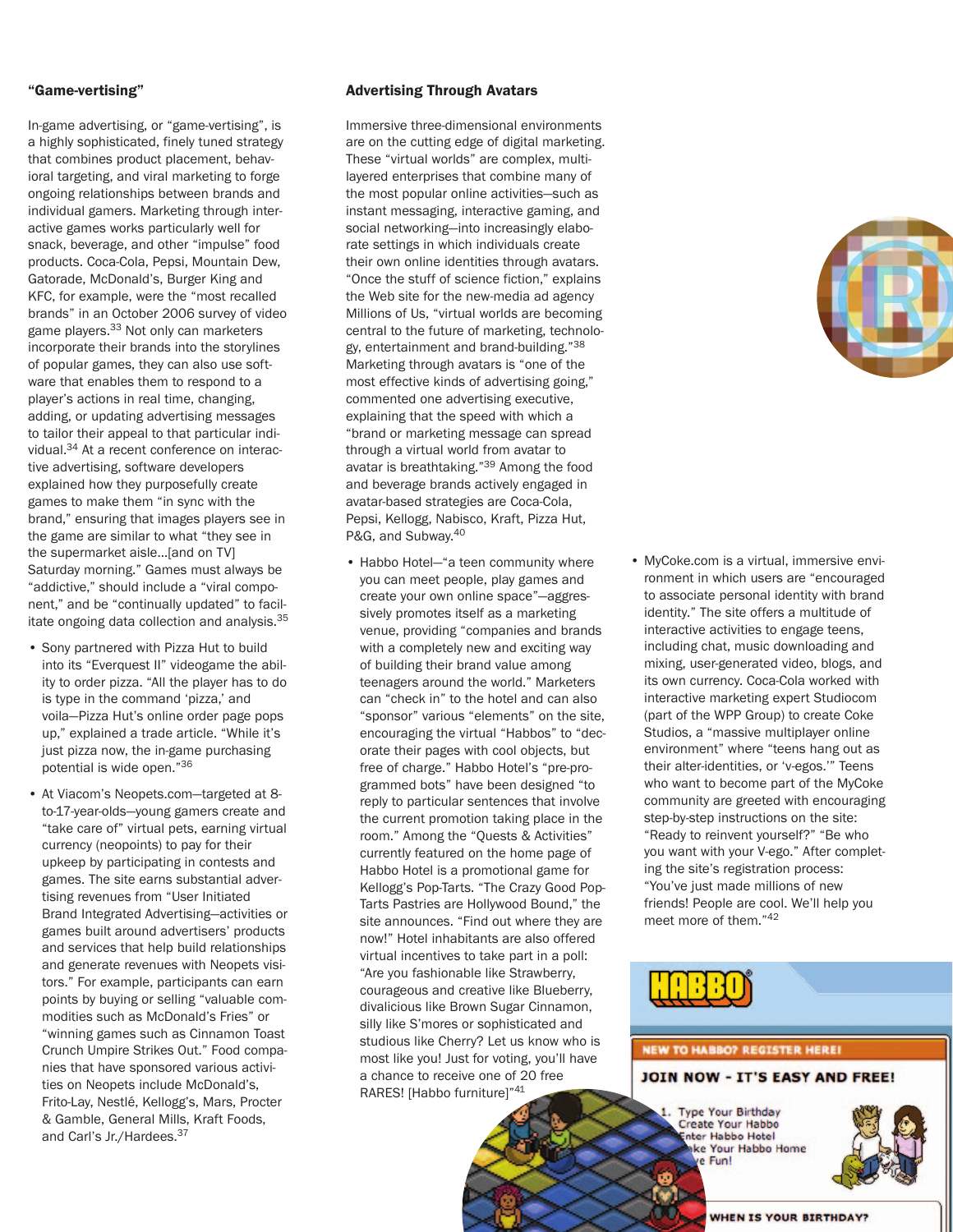## **"Game-vertising"**

In-game advertising, or "game-vertising", is a highly sophisticated, finely tuned strategy that combines product placement, behavioral targeting, and viral marketing to forge ongoing relationships between brands and individual gamers. Marketing through interactive games works particularly well for snack, beverage, and other "impulse" food products. Coca-Cola, Pepsi, Mountain Dew, Gatorade, McDonald's, Burger King and KFC, for example, were the "most recalled brands" in an October 2006 survey of video game players.<sup>33</sup> Not only can marketers incorporate their brands into the storylines of popular games, they can also use software that enables them to respond to a player's actions in real time, changing, adding, or updating advertising messages to tailor their appeal to that particular individual.<sup>34</sup> At a recent conference on interactive advertising, software developers explained how they purposefully create games to make them "in sync with the brand," ensuring that images players see in the game are similar to what "they see in the supermarket aisle…[and on TV] Saturday morning." Games must always be "addictive," should include a "viral component," and be "continually updated" to facilitate ongoing data collection and analysis.<sup>35</sup>

- Sony partnered with Pizza Hut to build into its "Everquest II" videogame the ability to order pizza. "All the player has to do is type in the command 'pizza,' and voila—Pizza Hut's online order page pops up," explained a trade article. "While it's just pizza now, the in-game purchasing potential is wide open."36
- At Viacom's Neopets.com—targeted at 8 to-17-year-olds—young gamers create and "take care of" virtual pets, earning virtual currency (neopoints) to pay for their upkeep by participating in contests and games. The site earns substantial advertising revenues from "User Initiated Brand Integrated Advertising—activities or games built around advertisers' products and services that help build relationships and generate revenues with Neopets visitors." For example, participants can earn points by buying or selling "valuable commodities such as McDonald's Fries" or "winning games such as Cinnamon Toast Crunch Umpire Strikes Out." Food companies that have sponsored various activities on Neopets include McDonald's, Frito-Lay, Nestlé, Kellogg's, Mars, Procter & Gamble, General Mills, Kraft Foods, and Carl's Jr./Hardees.<sup>37</sup>

## **Advertising Through Avatars**

Immersive three-dimensional environments are on the cutting edge of digital marketing. These "virtual worlds" are complex, multilayered enterprises that combine many of the most popular online activities—such as instant messaging, interactive gaming, and social networking—into increasingly elaborate settings in which individuals create their own online identities through avatars. "Once the stuff of science fiction," explains the Web site for the new-media ad agency Millions of Us, "virtual worlds are becoming central to the future of marketing, technology, entertainment and brand-building."38 Marketing through avatars is "one of the most effective kinds of advertising going," commented one advertising executive, explaining that the speed with which a "brand or marketing message can spread through a virtual world from avatar to avatar is breathtaking."39 Among the food and beverage brands actively engaged in avatar-based strategies are Coca-Cola, Pepsi, Kellogg, Nabisco, Kraft, Pizza Hut, P&G, and Subway.<sup>40</sup>

• Habbo Hotel—"a teen community where you can meet people, play games and create your own online space"—aggressively promotes itself as a marketing venue, providing "companies and brands with a completely new and exciting way of building their brand value among teenagers around the world." Marketers can "check in" to the hotel and can also "sponsor" various "elements" on the site, encouraging the virtual "Habbos" to "decorate their pages with cool objects, but free of charge." Habbo Hotel's "pre-programmed bots" have been designed "to reply to particular sentences that involve the current promotion taking place in the room." Among the "Quests & Activities" currently featured on the home page of Habbo Hotel is a promotional game for Kellogg's Pop-Tarts. "The Crazy Good Pop-Tarts Pastries are Hollywood Bound," the site announces. "Find out where they are now!" Hotel inhabitants are also offered virtual incentives to take part in a poll: "Are you fashionable like Strawberry, courageous and creative like Blueberry, divalicious like Brown Sugar Cinnamon, silly like S'mores or sophisticated and studious like Cherry? Let us know who is most like you! Just for voting, you'll have a chance to receive one of 20 free RARES! [Habbo furniture]"41



• MyCoke.com is a virtual, immersive environment in which users are "encouraged to associate personal identity with brand identity." The site offers a multitude of interactive activities to engage teens, including chat, music downloading and mixing, user-generated video, blogs, and its own currency. Coca-Cola worked with interactive marketing expert Studiocom (part of the WPP Group) to create Coke Studios, a "massive multiplayer online environment" where "teens hang out as their alter-identities, or 'v-egos.'" Teens who want to become part of the MyCoke community are greeted with encouraging step-by-step instructions on the site: "Ready to reinvent yourself?" "Be who you want with your V-ego." After completing the site's registration process: "You've just made millions of new friends! People are cool. We'll help you meet more of them."42



# **NEW TO HABBO? REGISTER HERE!**

JOIN NOW - IT'S EASY AND FREE!

**Type Your Birthday** Create Your Habbo nter Habbo Hotel ke Your Habbo Home e Fun!

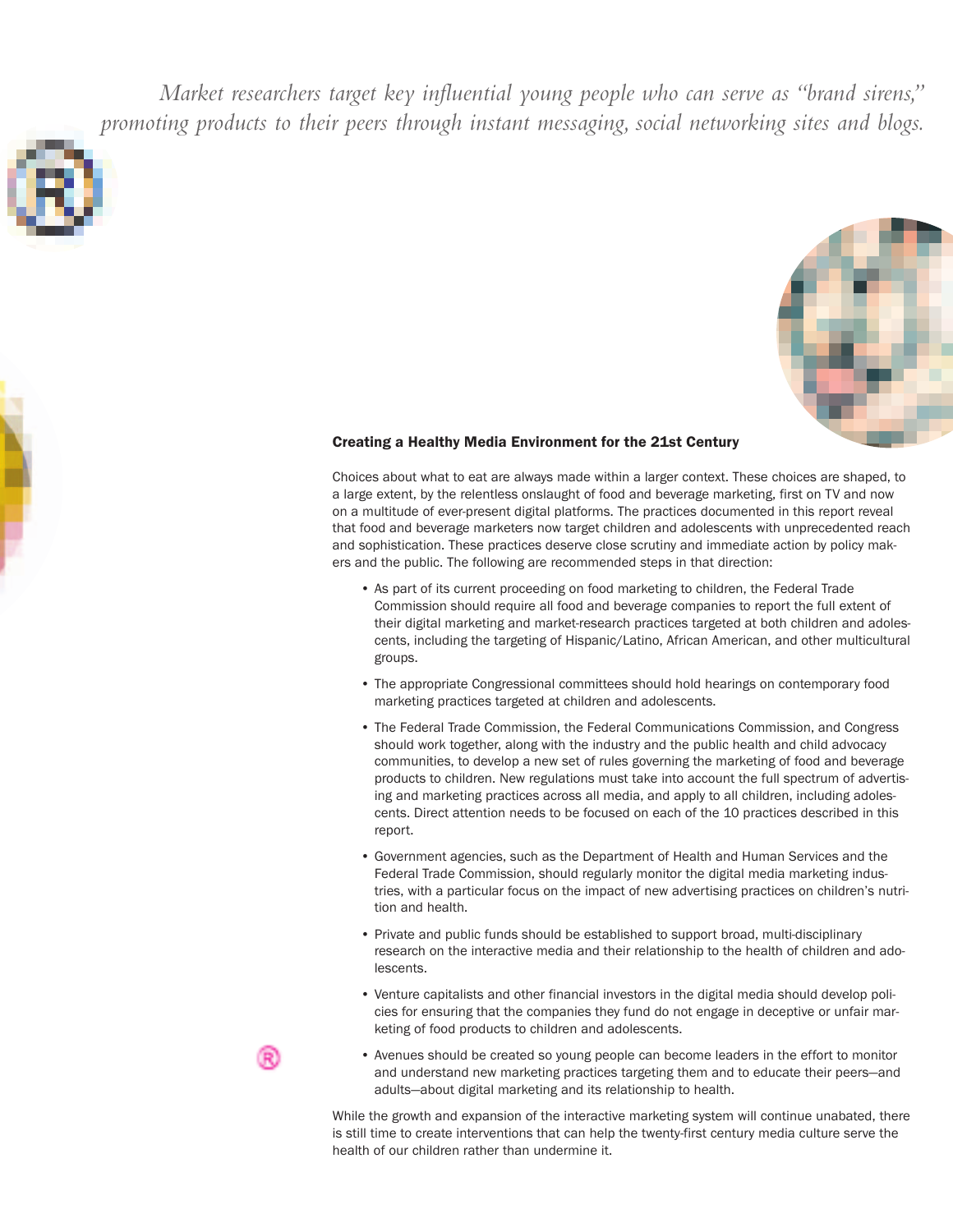*Market researchers target key influential young people who can serve as "brand sirens," promoting products to their peers through instant messaging, social networking sites and blogs.*





#### **Creating a Healthy Media Environment for the 21st Century**

Choices about what to eat are always made within a larger context. These choices are shaped, to a large extent, by the relentless onslaught of food and beverage marketing, first on TV and now on a multitude of ever-present digital platforms. The practices documented in this report reveal that food and beverage marketers now target children and adolescents with unprecedented reach and sophistication. These practices deserve close scrutiny and immediate action by policy makers and the public. The following are recommended steps in that direction:

- As part of its current proceeding on food marketing to children, the Federal Trade Commission should require all food and beverage companies to report the full extent of their digital marketing and market-research practices targeted at both children and adolescents, including the targeting of Hispanic/Latino, African American, and other multicultural groups.
- The appropriate Congressional committees should hold hearings on contemporary food marketing practices targeted at children and adolescents.
- The Federal Trade Commission, the Federal Communications Commission, and Congress should work together, along with the industry and the public health and child advocacy communities, to develop a new set of rules governing the marketing of food and beverage products to children. New regulations must take into account the full spectrum of advertising and marketing practices across all media, and apply to all children, including adolescents. Direct attention needs to be focused on each of the 10 practices described in this report.
- Government agencies, such as the Department of Health and Human Services and the Federal Trade Commission, should regularly monitor the digital media marketing industries, with a particular focus on the impact of new advertising practices on children's nutrition and health.
- Private and public funds should be established to support broad, multi-disciplinary research on the interactive media and their relationship to the health of children and adolescents.
- Venture capitalists and other financial investors in the digital media should develop policies for ensuring that the companies they fund do not engage in deceptive or unfair marketing of food products to children and adolescents.
- 
- Avenues should be created so young people can become leaders in the effort to monitor and understand new marketing practices targeting them and to educate their peers—and adults—about digital marketing and its relationship to health.

While the growth and expansion of the interactive marketing system will continue unabated, there is still time to create interventions that can help the twenty-first century media culture serve the health of our children rather than undermine it.